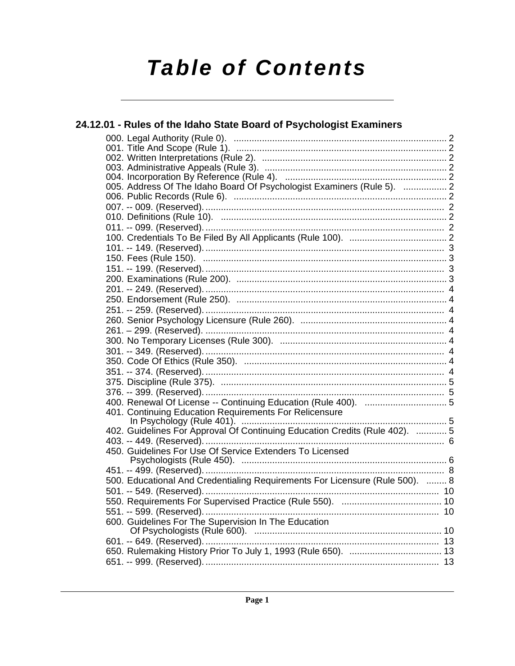# **Table of Contents**

| 24.12.01 - Rules of the Idaho State Board of Psychologist Examiners          |  |
|------------------------------------------------------------------------------|--|
|                                                                              |  |
|                                                                              |  |
|                                                                              |  |
|                                                                              |  |
|                                                                              |  |
| 005. Address Of The Idaho Board Of Psychologist Examiners (Rule 5).  2       |  |
|                                                                              |  |
|                                                                              |  |
|                                                                              |  |
|                                                                              |  |
|                                                                              |  |
|                                                                              |  |
|                                                                              |  |
|                                                                              |  |
|                                                                              |  |
|                                                                              |  |
|                                                                              |  |
|                                                                              |  |
|                                                                              |  |
|                                                                              |  |
|                                                                              |  |
|                                                                              |  |
|                                                                              |  |
|                                                                              |  |
|                                                                              |  |
|                                                                              |  |
|                                                                              |  |
| 401. Continuing Education Requirements For Relicensure                       |  |
| 402. Guidelines For Approval Of Continuing Education Credits (Rule 402).  5  |  |
|                                                                              |  |
| 450. Guidelines For Use Of Service Extenders To Licensed                     |  |
|                                                                              |  |
|                                                                              |  |
| 500. Educational And Credentialing Requirements For Licensure (Rule 500).  8 |  |
|                                                                              |  |
|                                                                              |  |
| 551. -- 599. (Reserved).                                                     |  |
| 600. Guidelines For The Supervision In The Education                         |  |
|                                                                              |  |
|                                                                              |  |
|                                                                              |  |
|                                                                              |  |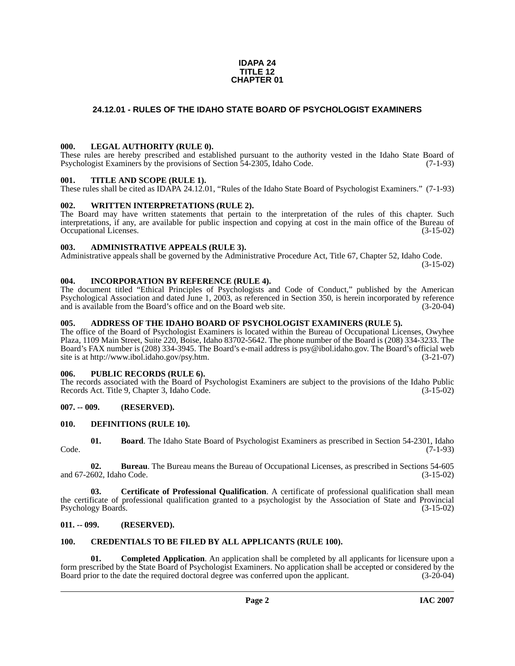#### **IDAPA 24 TITLE 12 CHAPTER 01**

#### <span id="page-1-0"></span>**24.12.01 - RULES OF THE IDAHO STATE BOARD OF PSYCHOLOGIST EXAMINERS**

#### <span id="page-1-1"></span>**000. LEGAL AUTHORITY (RULE 0).**

These rules are hereby prescribed and established pursuant to the authority vested in the Idaho State Board of Psychologist Examiners by the provisions of Section 54-2305, Idaho Code. (7-1-93)

#### <span id="page-1-2"></span>**001. TITLE AND SCOPE (RULE 1).**

These rules shall be cited as IDAPA 24.12.01, "Rules of the Idaho State Board of Psychologist Examiners." (7-1-93)

#### <span id="page-1-3"></span>**002. WRITTEN INTERPRETATIONS (RULE 2).**

The Board may have written statements that pertain to the interpretation of the rules of this chapter. Such interpretations, if any, are available for public inspection and copying at cost in the main office of the Bureau of Occupational Licenses. (3-15-02) Occupational Licenses.

#### <span id="page-1-4"></span>**003. ADMINISTRATIVE APPEALS (RULE 3).**

Administrative appeals shall be governed by the Administrative Procedure Act, Title 67, Chapter 52, Idaho Code.

(3-15-02)

#### <span id="page-1-5"></span>**004. INCORPORATION BY REFERENCE (RULE 4).**

The document titled "Ethical Principles of Psychologists and Code of Conduct," published by the American Psychological Association and dated June 1, 2003, as referenced in Section 350, is herein incorporated by reference and is available from the Board's office and on the Board web site. (3-20-04)

#### <span id="page-1-6"></span>**005. ADDRESS OF THE IDAHO BOARD OF PSYCHOLOGIST EXAMINERS (RULE 5).**

[The office of the Board of Psychologist Examiners is located within the Bureau of Occupational Licenses, Owyhee](mailto:psy@ibol.idaho.gov)  Plaza, 1109 Main Street, Suite 220, Boise, Idaho 83702-5642. The phone number of the Board is (208) 334-3233. The Board's FAX number is (208) 334-3945. The Board's e-mail address is psy@ibol.idaho.gov. The Board's official web [site is at](mailto:psy@ibol.idaho.gov) [http://www.ibol.idaho.gov/psy.htm. \(3-21-07\)](http://www.ibol.idaho.gov/psy.htm)

#### <span id="page-1-7"></span>**006. PUBLIC RECORDS (RULE 6).**

The records associated with the Board of Psychologist Examiners are subject to the provisions of the Idaho Public<br>Records Act. Title 9. Chapter 3, Idaho Code. (3-15-02) Records Act. Title 9, Chapter 3, Idaho Code.

#### <span id="page-1-8"></span>**007. -- 009. (RESERVED).**

#### <span id="page-1-15"></span><span id="page-1-9"></span>**010. DEFINITIONS (RULE 10).**

<span id="page-1-12"></span>**01. Board**. The Idaho State Board of Psychologist Examiners as prescribed in Section 54-2301, Idaho Code. (7-1-93)

**02. Bureau**. The Bureau means the Bureau of Occupational Licenses, as prescribed in Sections 54-605 and 67-2602, Idaho Code. (3-15-02)

**03. Certificate of Professional Qualification**. A certificate of professional qualification shall mean the certificate of professional qualification granted to a psychologist by the Association of State and Provincial Psychology Boards. (3-15-02)

#### <span id="page-1-10"></span>**011. -- 099. (RESERVED).**

### <span id="page-1-14"></span><span id="page-1-11"></span>**100. CREDENTIALS TO BE FILED BY ALL APPLICANTS (RULE 100).**

<span id="page-1-13"></span>**01. Completed Application**. An application shall be completed by all applicants for licensure upon a form prescribed by the State Board of Psychologist Examiners. No application shall be accepted or considered by the Board prior to the date the required doctoral degree was conferred upon the applicant. (3-20-04)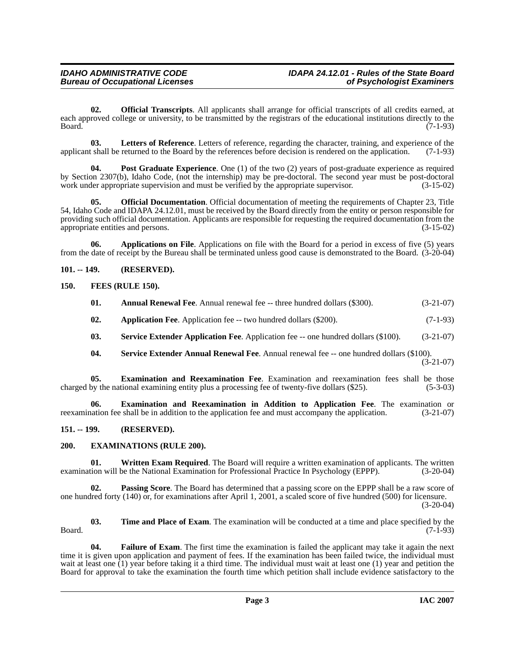<span id="page-2-12"></span>**02. Official Transcripts**. All applicants shall arrange for official transcripts of all credits earned, at each approved college or university, to be transmitted by the registrars of the educational institutions directly to the Board. (7-1-93) Board. (7-1-93)

<span id="page-2-11"></span>**03.** Letters of Reference. Letters of reference, regarding the character, training, and experience of the tshall be returned to the Board by the references before decision is rendered on the application. (7-1-93) applicant shall be returned to the Board by the references before decision is rendered on the application.

<span id="page-2-13"></span>**04.** Post Graduate Experience. One (1) of the two (2) years of post-graduate experience as required by Section 2307(b), Idaho Code, (not the internship) may be pre-doctoral. The second year must be post-doctoral work under appropriate supervision and must be verified by the appropriate supervisor. (3-15-02)

**05. Official Documentation**. Official documentation of meeting the requirements of Chapter 23, Title 54, Idaho Code and IDAPA 24.12.01, must be received by the Board directly from the entity or person responsible for providing such official documentation. Applicants are responsible for requesting the required documentation from the appropriate entities and persons. (3-15-02) appropriate entities and persons.

**06. Applications on File**. Applications on file with the Board for a period in excess of five (5) years from the date of receipt by the Bureau shall be terminated unless good cause is demonstrated to the Board. (3-20-04)

#### <span id="page-2-0"></span>**101. -- 149. (RESERVED).**

#### <span id="page-2-1"></span>**150. FEES (RULE 150).**

<span id="page-2-10"></span><span id="page-2-5"></span><span id="page-2-4"></span>

| 01. | <b>Annual Renewal Fee.</b> Annual renewal fee -- three hundred dollars (\$300). | $(3-21-07)$ |
|-----|---------------------------------------------------------------------------------|-------------|
| 02. | <b>Application Fee.</b> Application fee -- two hundred dollars (\$200).         | $(7-1-93)$  |

- **03. Service Extender Application Fee**. Application fee -- one hundred dollars (\$100). (3-21-07)
- <span id="page-2-14"></span><span id="page-2-7"></span><span id="page-2-6"></span>**04. Service Extender Annual Renewal Fee**. Annual renewal fee -- one hundred dollars (\$100). (3-21-07)

**05. Examination and Reexamination Fee**. Examination and reexamination fees shall be those by the national examining entity plus a processing fee of twenty-five dollars (\$25). (5-3-03) charged by the national examining entity plus a processing fee of twenty-five dollars  $(\$25)$ .

**06. Examination and Reexamination in Addition to Application Fee**. The examination or reexamination fee shall be in addition to the application fee and must accompany the application. (3-21-07)

#### <span id="page-2-2"></span>**151. -- 199. (RESERVED).**

#### <span id="page-2-8"></span><span id="page-2-3"></span>**200. EXAMINATIONS (RULE 200).**

<span id="page-2-16"></span>**01. Written Exam Required**. The Board will require a written examination of applicants. The written tion will be the National Examination for Professional Practice In Psychology (EPPP). (3-20-04) examination will be the National Examination for Professional Practice In Psychology (EPPP).

**02. Passing Score**. The Board has determined that a passing score on the EPPP shall be a raw score of one hundred forty (140) or, for examinations after April 1, 2001, a scaled score of five hundred (500) for licensure. (3-20-04)

<span id="page-2-15"></span>**03. Time and Place of Exam**. The examination will be conducted at a time and place specified by the Board. (7-1-93)

<span id="page-2-9"></span>**04. Failure of Exam**. The first time the examination is failed the applicant may take it again the next time it is given upon application and payment of fees. If the examination has been failed twice, the individual must wait at least one (1) year before taking it a third time. The individual must wait at least one (1) year and petition the Board for approval to take the examination the fourth time which petition shall include evidence satisfactory to the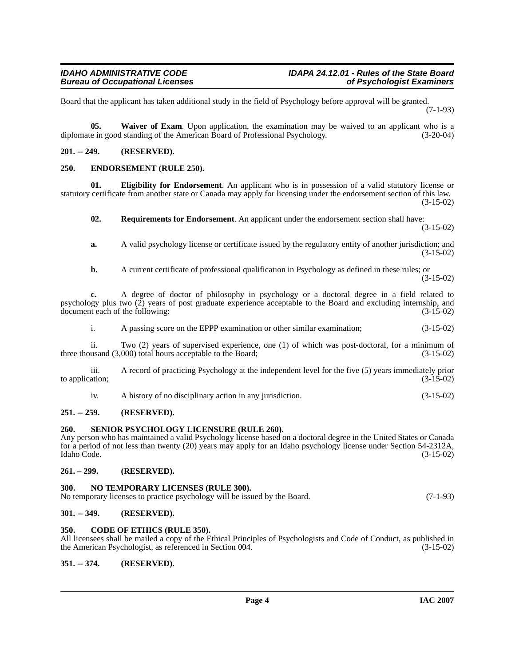Board that the applicant has taken additional study in the field of Psychology before approval will be granted. (7-1-93)

<span id="page-3-15"></span>**05. Waiver of Exam**. Upon application, the examination may be waived to an applicant who is a diplomate in good standing of the American Board of Professional Psychology. (3-20-04)

#### <span id="page-3-0"></span>**201. -- 249. (RESERVED).**

#### <span id="page-3-11"></span><span id="page-3-1"></span>**250. ENDORSEMENT (RULE 250).**

**01. Eligibility for Endorsement**. An applicant who is in possession of a valid statutory license or statutory certificate from another state or Canada may apply for licensing under the endorsement section of this law. (3-15-02)

<span id="page-3-13"></span><span id="page-3-10"></span>**02. Requirements for Endorsement**. An applicant under the endorsement section shall have: (3-15-02)

**a.** A valid psychology license or certificate issued by the regulatory entity of another jurisdiction; and (3-15-02)

**b.** A current certificate of professional qualification in Psychology as defined in these rules; or (3-15-02)

**c.** A degree of doctor of philosophy in psychology or a doctoral degree in a field related to psychology plus two (2) years of post graduate experience acceptable to the Board and excluding internship, and document each of the following: (3-15-02) document each of the following:

i. A passing score on the EPPP examination or other similar examination; (3-15-02)

ii. Two (2) years of supervised experience, one (1) of which was post-doctoral, for a minimum of usand  $(3.000)$  total hours acceptable to the Board;  $(3-15-02)$ three thousand  $(3,000)$  total hours acceptable to the Board;

iii. A record of practicing Psychology at the independent level for the five (5) years immediately prior to application;  $(3-15-02)$ 

<span id="page-3-14"></span>

| A history of no disciplinary action in any jurisdiction. |             |  |  |
|----------------------------------------------------------|-------------|--|--|
|                                                          | $(3-15-02)$ |  |  |
|                                                          |             |  |  |

#### <span id="page-3-2"></span>**251. -- 259. (RESERVED).**

#### <span id="page-3-3"></span>**260. SENIOR PSYCHOLOGY LICENSURE (RULE 260).**

Any person who has maintained a valid Psychology license based on a doctoral degree in the United States or Canada for a period of not less than twenty (20) years may apply for an Idaho psychology license under Section 54-2312A, Idaho Code. (3-15-02)

#### <span id="page-3-4"></span>**261. – 299. (RESERVED).**

#### <span id="page-3-12"></span><span id="page-3-5"></span>**300. NO TEMPORARY LICENSES (RULE 300).**

| No temporary licenses to practice psychology will be issued by the Board. | $(7-1-93)$ |
|---------------------------------------------------------------------------|------------|
|                                                                           |            |

#### <span id="page-3-6"></span>**301. -- 349. (RESERVED).**

#### <span id="page-3-9"></span><span id="page-3-7"></span>**350. CODE OF ETHICS (RULE 350).**

All licensees shall be mailed a copy of the Ethical Principles of Psychologists and Code of Conduct, as published in the American Psychologist, as referenced in Section 004. (3-15-02) the American Psychologist, as referenced in Section 004.

#### <span id="page-3-8"></span>**351. -- 374. (RESERVED).**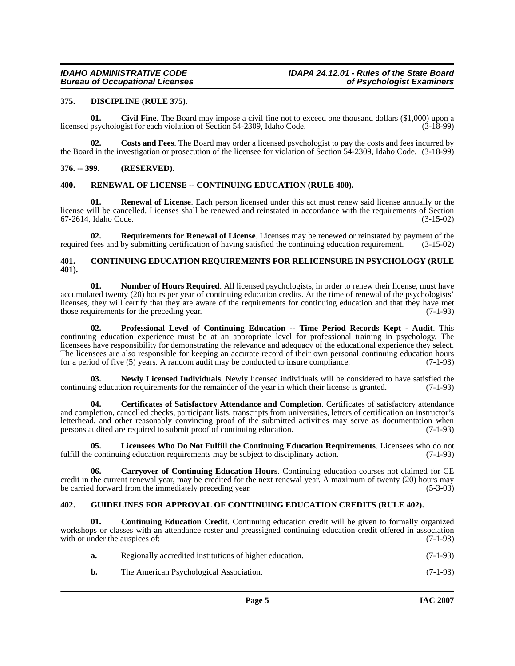#### <span id="page-4-11"></span><span id="page-4-0"></span>**375. DISCIPLINE (RULE 375).**

<span id="page-4-7"></span>**01.** Civil Fine. The Board may impose a civil fine not to exceed one thousand dollars (\$1,000) upon a psychologist for each violation of Section 54-2309. Idaho Code. (3-18-99) licensed psychologist for each violation of Section 54-2309, Idaho Code.

<span id="page-4-10"></span>**02. Costs and Fees**. The Board may order a licensed psychologist to pay the costs and fees incurred by the Board in the investigation or prosecution of the licensee for violation of Section 54-2309, Idaho Code. (3-18-99)

#### <span id="page-4-1"></span>**376. -- 399. (RESERVED).**

#### <span id="page-4-17"></span><span id="page-4-2"></span>**400. RENEWAL OF LICENSE -- CONTINUING EDUCATION (RULE 400).**

**01. Renewal of License**. Each person licensed under this act must renew said license annually or the license will be cancelled. Licenses shall be renewed and reinstated in accordance with the requirements of Section 67-2614, Idaho Code. (3-15-02)

<span id="page-4-18"></span>**02. Requirements for Renewal of License**. Licenses may be renewed or reinstated by payment of the fees and by submitting certification of having satisfied the continuing education requirement. (3-15-02) required fees and by submitting certification of having satisfied the continuing education requirement.

#### <span id="page-4-9"></span><span id="page-4-3"></span>**401. CONTINUING EDUCATION REQUIREMENTS FOR RELICENSURE IN PSYCHOLOGY (RULE 401).**

<span id="page-4-15"></span>**01. Number of Hours Required**. All licensed psychologists, in order to renew their license, must have accumulated twenty (20) hours per year of continuing education credits. At the time of renewal of the psychologists' licenses, they will certify that they are aware of the requirements for continuing education and that they have met those requirements for the preceding year. (7-1-93) those requirements for the preceding year.

<span id="page-4-16"></span>**02. Professional Level of Continuing Education -- Time Period Records Kept - Audit**. This continuing education experience must be at an appropriate level for professional training in psychology. The licensees have responsibility for demonstrating the relevance and adequacy of the educational experience they select. The licensees are also responsible for keeping an accurate record of their own personal continuing education hours for a period of five (5) years. A random audit may be conducted to insure compliance. (7-1-93)

<span id="page-4-14"></span>**03.** Newly Licensed Individuals. Newly licensed individuals will be considered to have satisfied the represents for the remainder of the vear in which their license is granted. (7-1-93) continuing education requirements for the remainder of the year in which their license is granted.

<span id="page-4-6"></span>**04. Certificates of Satisfactory Attendance and Completion**. Certificates of satisfactory attendance and completion, cancelled checks, participant lists, transcripts from universities, letters of certification on instructor's letterhead, and other reasonably convincing proof of the submitted activities may serve as documentation when<br>persons audited are required to submit proof of continuing education. (7-1-93) persons audited are required to submit proof of continuing education.

<span id="page-4-13"></span>**05. Licensees Who Do Not Fulfill the Continuing Education Requirements**. Licensees who do not fulfill the continuing education requirements may be subject to disciplinary action.  $(7-1-93)$ 

<span id="page-4-5"></span>**06. Carryover of Continuing Education Hours**. Continuing education courses not claimed for CE credit in the current renewal year, may be credited for the next renewal year. A maximum of twenty (20) hours may be carried forward from the immediately preceding year. (5-3-03)

#### <span id="page-4-12"></span><span id="page-4-4"></span>**402. GUIDELINES FOR APPROVAL OF CONTINUING EDUCATION CREDITS (RULE 402).**

**01. Continuing Education Credit**. Continuing education credit will be given to formally organized workshops or classes with an attendance roster and preassigned continuing education credit offered in association with or under the auspices of:  $(7-1-93)$ 

<span id="page-4-8"></span>

| a. | Regionally accredited institutions of higher education. | $(7-1-93)$ |
|----|---------------------------------------------------------|------------|
| b. | The American Psychological Association.                 | $(7-1-93)$ |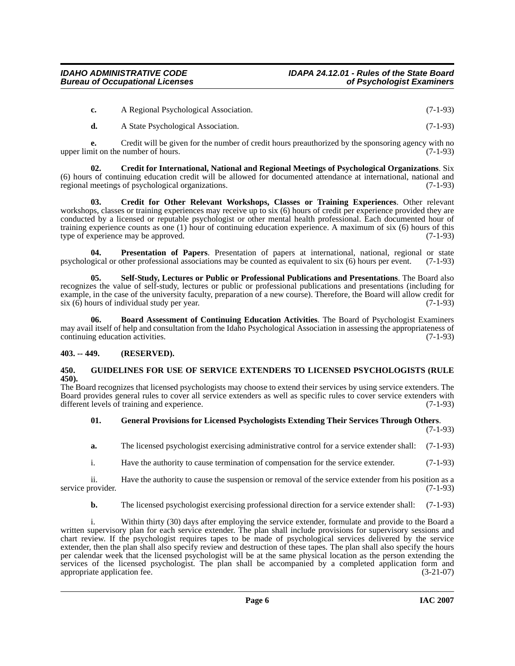| A Regional Psychological Association. | $(7-1-93)$ |
|---------------------------------------|------------|
|                                       |            |

<span id="page-5-3"></span>**d.** A State Psychological Association. (7-1-93)

**e.** Credit will be given for the number of credit hours preauthorized by the sponsoring agency with no nit on the number of hours. (7-1-93) upper limit on the number of hours.

**02. Credit for International, National and Regional Meetings of Psychological Organizations**. Six (6) hours of continuing education credit will be allowed for documented attendance at international, national and regional meetings of psychological organizations.  $(7-1-93)$ regional meetings of psychological organizations.

<span id="page-5-4"></span>**03. Credit for Other Relevant Workshops, Classes or Training Experiences**. Other relevant workshops, classes or training experiences may receive up to six (6) hours of credit per experience provided they are conducted by a licensed or reputable psychologist or other mental health professional. Each documented hour of training experience counts as one (1) hour of continuing education experience. A maximum of six (6) hours of this type of experience may be approved. (7-1-93) type of experience may be approved.

<span id="page-5-7"></span>**Presentation of Papers.** Presentation of papers at international, national, regional or state other professional associations may be counted as equivalent to six (6) hours per event. (7-1-93) psychological or other professional associations may be counted as equivalent to six (6) hours per event.

<span id="page-5-8"></span>**05. Self-Study, Lectures or Public or Professional Publications and Presentations**. The Board also recognizes the value of self-study, lectures or public or professional publications and presentations (including for example, in the case of the university faculty, preparation of a new course). Therefore, the Board will allow credit for six (6) hours of individual study per year. (7-1-93)

<span id="page-5-2"></span>**06. Board Assessment of Continuing Education Activities**. The Board of Psychologist Examiners may avail itself of help and consultation from the Idaho Psychological Association in assessing the appropriateness of continuing education activities. (7-1-93)

### <span id="page-5-0"></span>**403. -- 449. (RESERVED).**

#### <span id="page-5-6"></span><span id="page-5-1"></span>**450. GUIDELINES FOR USE OF SERVICE EXTENDERS TO LICENSED PSYCHOLOGISTS (RULE 450).**

The Board recognizes that licensed psychologists may choose to extend their services by using service extenders. The Board provides general rules to cover all service extenders as well as specific rules to cover service extenders with different levels of training and experience. (7-1-93) different levels of training and experience.

#### <span id="page-5-5"></span>**01. General Provisions for Licensed Psychologists Extending Their Services Through Others**. (7-1-93)

**a.** The licensed psychologist exercising administrative control for a service extender shall: (7-1-93)

i. Have the authority to cause termination of compensation for the service extender. (7-1-93)

ii. Have the authority to cause the suspension or removal of the service extender from his position as a service provider. (7-1-93)

**b.** The licensed psychologist exercising professional direction for a service extender shall: (7-1-93)

i. Within thirty (30) days after employing the service extender, formulate and provide to the Board a written supervisory plan for each service extender. The plan shall include provisions for supervisory sessions and chart review. If the psychologist requires tapes to be made of psychological services delivered by the service extender, then the plan shall also specify review and destruction of these tapes. The plan shall also specify the hours per calendar week that the licensed psychologist will be at the same physical location as the person extending the services of the licensed psychologist. The plan shall be accompanied by a completed application form and appropriate application fee. (3-21-07) (3-21-07)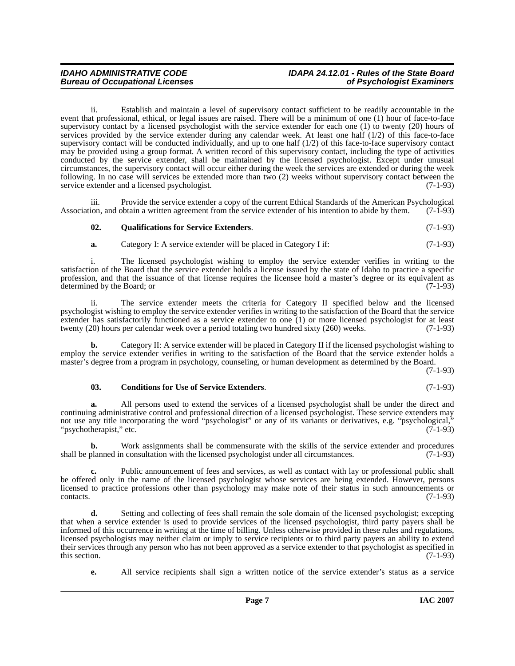## **IDAHO ADMINISTRATIVE CODE IDAPA 24.12.01 - Rules of the State Board**

ii. Establish and maintain a level of supervisory contact sufficient to be readily accountable in the event that professional, ethical, or legal issues are raised. There will be a minimum of one (1) hour of face-to-face supervisory contact by a licensed psychologist with the service extender for each one (1) to twenty (20) hours of services provided by the service extender during any calendar week. At least one half  $(1/2)$  of this face-to-face supervisory contact will be conducted individually, and up to one half (1/2) of this face-to-face supervisory contact may be provided using a group format. A written record of this supervisory contact, including the type of activities conducted by the service extender, shall be maintained by the licensed psychologist. Except under unusual circumstances, the supervisory contact will occur either during the week the services are extended or during the week following. In no case will services be extended more than two (2) weeks without supervisory contact between the service extender and a licensed psychologist. (7-1-93)

iii. Provide the service extender a copy of the current Ethical Standards of the American Psychological Association, and obtain a written agreement from the service extender of his intention to abide by them. (7-1-93)

#### <span id="page-6-1"></span>**02. Qualifications for Service Extenders**. (7-1-93)

**a.** Category I: A service extender will be placed in Category I if: (7-1-93)

i. The licensed psychologist wishing to employ the service extender verifies in writing to the satisfaction of the Board that the service extender holds a license issued by the state of Idaho to practice a specific profession, and that the issuance of that license requires the licensee hold a master's degree or its equivalent as determined by the Board; or (7-1-93) determined by the Board; or

ii. The service extender meets the criteria for Category II specified below and the licensed psychologist wishing to employ the service extender verifies in writing to the satisfaction of the Board that the service extender has satisfactorily functioned as a service extender to one  $(1)$  or more licensed psychologist for at least twenty (20) hours per calendar week over a period totaling two hundred sixty (260) weeks.  $(7-1-93)$ twenty (20) hours per calendar week over a period totaling two hundred sixty (260) weeks.

**b.** Category II: A service extender will be placed in Category II if the licensed psychologist wishing to employ the service extender verifies in writing to the satisfaction of the Board that the service extender holds a master's degree from a program in psychology, counseling, or human development as determined by the Board.

(7-1-93)

#### <span id="page-6-0"></span>**03. Conditions for Use of Service Extenders**. (7-1-93)

**a.** All persons used to extend the services of a licensed psychologist shall be under the direct and continuing administrative control and professional direction of a licensed psychologist. These service extenders may not use any title incorporating the word "psychologist" or any of its variants or derivatives, e.g. "psychological,"<br>"psychotherapist," etc. (7-1-93) "psychotherapist," etc.

**b.** Work assignments shall be commensurate with the skills of the service extender and procedures shall be planned in consultation with the licensed psychologist under all circumstances. (7-1-93)

Public announcement of fees and services, as well as contact with lay or professional public shall be offered only in the name of the licensed psychologist whose services are being extended. However, persons licensed to practice professions other than psychology may make note of their status in such announcements or  $\text{constants.}$  (7-1-93)

**d.** Setting and collecting of fees shall remain the sole domain of the licensed psychologist; excepting that when a service extender is used to provide services of the licensed psychologist, third party payers shall be informed of this occurrence in writing at the time of billing. Unless otherwise provided in these rules and regulations, licensed psychologists may neither claim or imply to service recipients or to third party payers an ability to extend their services through any person who has not been approved as a service extender to that psychologist as specified in this section. (7-1-93) this section.  $(7-1-93)$ 

**e.** All service recipients shall sign a written notice of the service extender's status as a service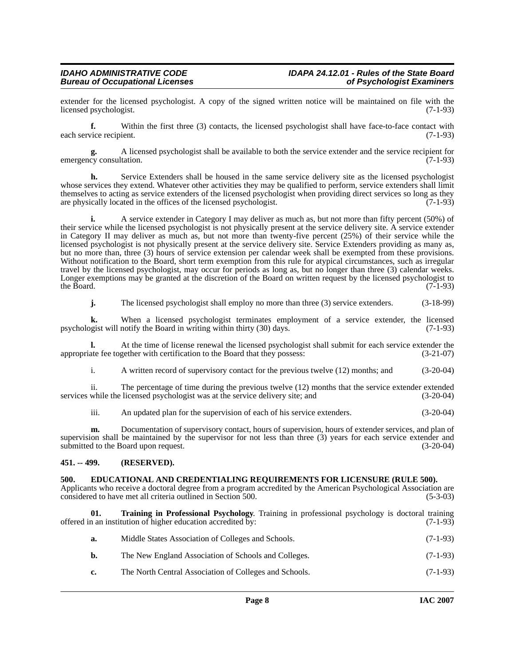extender for the licensed psychologist. A copy of the signed written notice will be maintained on file with the licensed psychologist. (7-1-93) licensed psychologist.

**f.** Within the first three (3) contacts, the licensed psychologist shall have face-to-face contact with each service recipient. (7-1-93)

A licensed psychologist shall be available to both the service extender and the service recipient for tation. emergency consultation.

**h.** Service Extenders shall be housed in the same service delivery site as the licensed psychologist whose services they extend. Whatever other activities they may be qualified to perform, service extenders shall limit themselves to acting as service extenders of the licensed psychologist when providing direct services so long as they are physically located in the offices of the licensed psychologist. (7-1-93) are physically located in the offices of the licensed psychologist.

**i.** A service extender in Category I may deliver as much as, but not more than fifty percent (50%) of their service while the licensed psychologist is not physically present at the service delivery site. A service extender in Category II may deliver as much as, but not more than twenty-five percent (25%) of their service while the licensed psychologist is not physically present at the service delivery site. Service Extenders providing as many as, but no more than, three (3) hours of service extension per calendar week shall be exempted from these provisions. Without notification to the Board, short term exemption from this rule for atypical circumstances, such as irregular travel by the licensed psychologist, may occur for periods as long as, but no longer than three (3) calendar weeks. Longer exemptions may be granted at the discretion of the Board on written request by the licensed psychologist to the Board. (7-1-93) the Board.  $(7-1-93)$ 

**j.** The licensed psychologist shall employ no more than three (3) service extenders. (3-18-99)

**k.** When a licensed psychologist terminates employment of a service extender, the licensed opist will notify the Board in writing within thirty (30) days. (7-1-93) psychologist will notify the Board in writing within thirty (30) days.

**l.** At the time of license renewal the licensed psychologist shall submit for each service extender the ate fee together with certification to the Board that they possess: (3-21-07) appropriate fee together with certification to the Board that they possess:

i. A written record of supervisory contact for the previous twelve (12) months; and (3-20-04)

ii. The percentage of time during the previous twelve (12) months that the service extender extended while the licensed psychologist was at the service delivery site; and (3-20-04) services while the licensed psychologist was at the service delivery site; and

iii. An updated plan for the supervision of each of his service extenders. (3-20-04)

**m.** Documentation of supervisory contact, hours of supervision, hours of extender services, and plan of supervision shall be maintained by the supervisor for not less than three (3) years for each service extender and submitted to the Board upon request. (3-20-04)

#### <span id="page-7-0"></span>**451. -- 499. (RESERVED).**

#### <span id="page-7-2"></span><span id="page-7-1"></span>**500. EDUCATIONAL AND CREDENTIALING REQUIREMENTS FOR LICENSURE (RULE 500).**

Applicants who receive a doctoral degree from a program accredited by the American Psychological Association are considered to have met all criteria outlined in Section 500. (5-3-03)

**Training in Professional Psychology**. Training in professional psychology is doctoral training tution of higher education accredited by: (7-1-93) offered in an institution of higher education accredited by:

<span id="page-7-3"></span>

| а. | Middle States Association of Colleges and Schools.     | $(7-1-93)$ |
|----|--------------------------------------------------------|------------|
| b. | The New England Association of Schools and Colleges.   | $(7-1-93)$ |
| c. | The North Central Association of Colleges and Schools. | $(7-1-93)$ |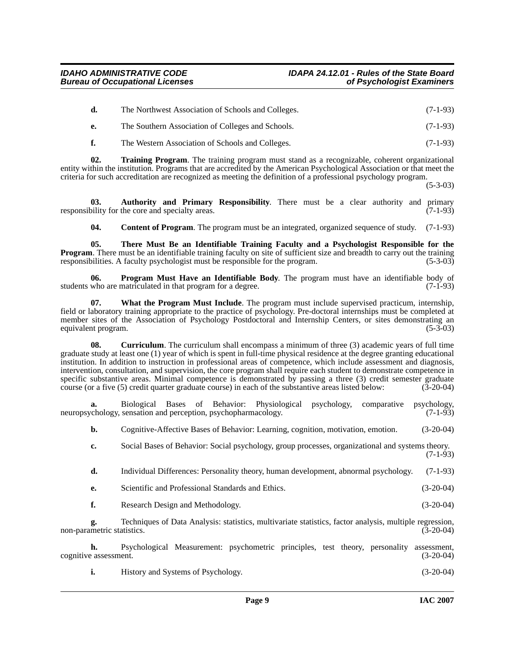|    | The Northwest Association of Schools and Colleges. | $(7-1-93)$ |
|----|----------------------------------------------------|------------|
| e. | The Southern Association of Colleges and Schools.  | $(7-1-93)$ |

<span id="page-8-5"></span>**f.** The Western Association of Schools and Colleges. (7-1-93)

**02. Training Program**. The training program must stand as a recognizable, coherent organizational entity within the institution. Programs that are accredited by the American Psychological Association or that meet the criteria for such accreditation are recognized as meeting the definition of a professional psychology program.

(5-3-03)

**03. Authority and Primary Responsibility**. There must be a clear authority and primary responsibility for the core and specialty areas.  $(7-1-93)$ 

<span id="page-8-4"></span><span id="page-8-3"></span><span id="page-8-1"></span><span id="page-8-0"></span>**04. Content of Program**. The program must be an integrated, organized sequence of study. (7-1-93)

**05. There Must Be an Identifiable Training Faculty and a Psychologist Responsible for the Program.** There must be an identifiable training faculty on site of sufficient size and breadth to carry out the training responsibilities. A faculty psychologist must be responsible for the program. (5-3-03)

**06. Program Must Have an Identifiable Body**. The program must have an identifiable body of who are matriculated in that program for a degree. (7-1-93) students who are matriculated in that program for a degree.

<span id="page-8-6"></span>**07. What the Program Must Include**. The program must include supervised practicum, internship, field or laboratory training appropriate to the practice of psychology. Pre-doctoral internships must be completed at member sites of the Association of Psychology Postdoctoral and Internship Centers, or sites demonstrating an equivalent program. (5-3-03) equivalent program.

<span id="page-8-2"></span>**08.** Curriculum. The curriculum shall encompass a minimum of three (3) academic years of full time graduate study at least one (1) year of which is spent in full-time physical residence at the degree granting educational institution. In addition to instruction in professional areas of competence, which include assessment and diagnosis, intervention, consultation, and supervision, the core program shall require each student to demonstrate competence in specific substantive areas. Minimal competence is demonstrated by passing a three (3) credit semester graduate course (or a five (5) credit quarter graduate course) in each of the substantive areas listed below: (3-20-04) course (or a five (5) credit quarter graduate course) in each of the substantive areas listed below:

**a.** Biological Bases of Behavior: Physiological psychology, comparative psychology, neuropsychology, sensation and perception, psychopharmacology. (7-1-93)

**b.** Cognitive-Affective Bases of Behavior: Learning, cognition, motivation, emotion. (3-20-04)

**c.** Social Bases of Behavior: Social psychology, group processes, organizational and systems theory. (7-1-93)

**d.** Individual Differences: Personality theory, human development, abnormal psychology. (7-1-93)

- **e.** Scientific and Professional Standards and Ethics. (3-20-04)
- **f.** Research Design and Methodology. (3-20-04)

**g.** Techniques of Data Analysis: statistics, multivariate statistics, factor analysis, multiple regression, non-parametric statistics. (3-20-04)

**h.** Psychological Measurement: psychometric principles, test theory, personality assessment, eassessment. (3-20-04) cognitive assessment.

**i.** History and Systems of Psychology. (3-20-04)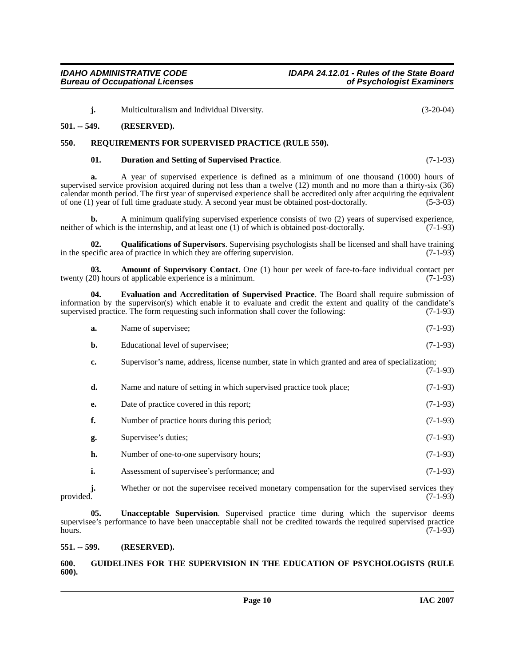**j.** Multiculturalism and Individual Diversity. (3-20-04)

#### <span id="page-9-0"></span>**501. -- 549. (RESERVED).**

#### <span id="page-9-1"></span>**550. REQUIREMENTS FOR SUPERVISED PRACTICE (RULE 550).**

#### <span id="page-9-9"></span><span id="page-9-5"></span>**01. Duration and Setting of Supervised Practice**. (7-1-93)

**a.** A year of supervised experience is defined as a minimum of one thousand (1000) hours of supervised service provision acquired during not less than a twelve (12) month and no more than a thirty-six (36) calendar month period. The first year of supervised experience shall be accredited only after acquiring the equivalent of one (1) year of full time graduate study. A second year must be obtained post-doctorally. (5-3-03) of one (1) year of full time graduate study. A second year must be obtained post-doctorally.

**b.** A minimum qualifying supervised experience consists of two (2) years of supervised experience, f which is the internship, and at least one (1) of which is obtained post-doctorally. (7-1-93) neither of which is the internship, and at least one  $(1)$  of which is obtained post-doctorally.

<span id="page-9-8"></span>**02. Qualifications of Supervisors**. Supervising psychologists shall be licensed and shall have training in the specific area of practice in which they are offering supervision. (7-1-93)

<span id="page-9-4"></span>**03. Amount of Supervisory Contact**. One (1) hour per week of face-to-face individual contact per 20) hours of applicable experience is a minimum. twenty  $(20)$  hours of applicable experience is a minimum.

**04. Evaluation and Accreditation of Supervised Practice**. The Board shall require submission of information by the supervisor(s) which enable it to evaluate and credit the extent and quality of the candidate's supervised practice. The form requesting such information shall cover the following: (7-1-93) supervised practice. The form requesting such information shall cover the following:

<span id="page-9-6"></span>

| a. | Name of supervisee; | $(7-1-93)$ |
|----|---------------------|------------|
|    |                     |            |

- **b.** Educational level of supervisee; (7-1-93)
- **c.** Supervisor's name, address, license number, state in which granted and area of specialization; (7-1-93)

| d. | Name and nature of setting in which supervised practice took place; | $(7-1-93)$ |
|----|---------------------------------------------------------------------|------------|
| e. | Date of practice covered in this report;                            | $(7-1-93)$ |
| f. | Number of practice hours during this period;                        | $(7-1-93)$ |
| g. | Supervisee's duties;                                                | $(7-1-93)$ |
| h. | Number of one-to-one supervisory hours;                             | $(7-1-93)$ |
|    | Assessment of supervisee's performance; and                         | $(7-1-93)$ |

**j.** Whether or not the supervisee received monetary compensation for the supervised services they provided. (7-1-93) provided.  $(7-1-93)$ 

<span id="page-9-10"></span>**05. Unacceptable Supervision**. Supervised practice time during which the supervisor deems supervisee's performance to have been unacceptable shall not be credited towards the required supervised practice hours. (7-1-93)

#### <span id="page-9-2"></span>**551. -- 599. (RESERVED).**

#### <span id="page-9-7"></span><span id="page-9-3"></span>**600. GUIDELINES FOR THE SUPERVISION IN THE EDUCATION OF PSYCHOLOGISTS (RULE 600).**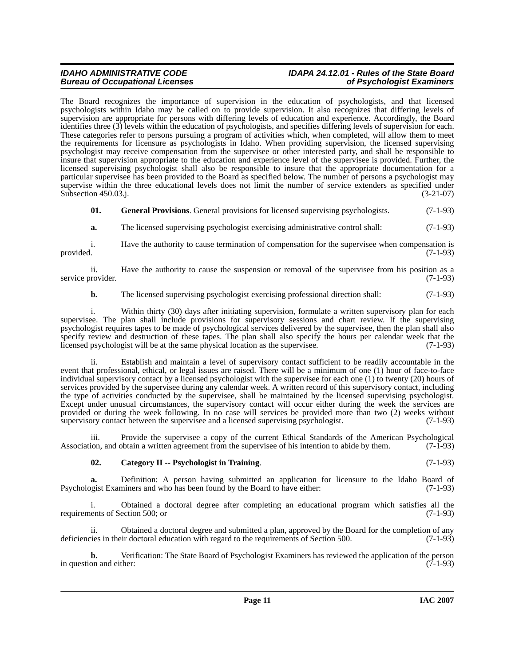# **IDAHO ADMINISTRATIVE CODE IDAPA 24.12.01 - Rules of the State Board**

The Board recognizes the importance of supervision in the education of psychologists, and that licensed psychologists within Idaho may be called on to provide supervision. It also recognizes that differing levels of supervision are appropriate for persons with differing levels of education and experience. Accordingly, the Board identifies three (3) levels within the education of psychologists, and specifies differing levels of supervision for each. These categories refer to persons pursuing a program of activities which, when completed, will allow them to meet the requirements for licensure as psychologists in Idaho. When providing supervision, the licensed supervising psychologist may receive compensation from the supervisee or other interested party, and shall be responsible to insure that supervision appropriate to the education and experience level of the supervisee is provided. Further, the licensed supervising psychologist shall also be responsible to insure that the appropriate documentation for a particular supervisee has been provided to the Board as specified below. The number of persons a psychologist may supervise within the three educational levels does not limit the number of service extenders as specified under<br>Subsection 450.03.j. (3-21-07) Subsection 450.03.j.

**01. General Provisions**. General provisions for licensed supervising psychologists. (7-1-93)

**a.** The licensed supervising psychologist exercising administrative control shall:  $(7-1-93)$ 

i. Have the authority to cause termination of compensation for the supervisee when compensation is provided. (7-1-93) provided.  $(7-1-93)$ 

ii. Have the authority to cause the suspension or removal of the supervisee from his position as a provider. (7-1-93) service provider.

**b.** The licensed supervising psychologist exercising professional direction shall: (7-1-93)

i. Within thirty (30) days after initiating supervision, formulate a written supervisory plan for each supervisee. The plan shall include provisions for supervisory sessions and chart review. If the supervising psychologist requires tapes to be made of psychological services delivered by the supervisee, then the plan shall also specify review and destruction of these tapes. The plan shall also specify the hours per calendar week that the licensed psychologist will be at the same physical location as the supervisee. (7-1-93) licensed psychologist will be at the same physical location as the supervisee.

ii. Establish and maintain a level of supervisory contact sufficient to be readily accountable in the event that professional, ethical, or legal issues are raised. There will be a minimum of one (1) hour of face-to-face individual supervisory contact by a licensed psychologist with the supervisee for each one (1) to twenty (20) hours of services provided by the supervisee during any calendar week. A written record of this supervisory contact, including the type of activities conducted by the supervisee, shall be maintained by the licensed supervising psychologist. Except under unusual circumstances, the supervisory contact will occur either during the week the services are provided or during the week following. In no case will services be provided more than two (2) weeks without supervisory contact between the supervisee and a licensed supervising psychologist. (7-1-93)

iii. Provide the supervisee a copy of the current Ethical Standards of the American Psychological ion, and obtain a written agreement from the supervisee of his intention to abide by them. (7-1-93) Association, and obtain a written agreement from the supervisee of his intention to abide by them.

#### <span id="page-10-0"></span>**02. Category II -- Psychologist in Training**. (7-1-93)

**a.** Definition: A person having submitted an application for licensure to the Idaho Board of Psychologist Examiners and who has been found by the Board to have either: (7-1-93)

i. Obtained a doctoral degree after completing an educational program which satisfies all the ents of Section 500; or (7-1-93) requirements of Section 500; or

ii. Obtained a doctoral degree and submitted a plan, approved by the Board for the completion of any deficiencies in their doctoral education with regard to the requirements of Section 500. (7-1-93)

**b.** Verification: The State Board of Psychologist Examiners has reviewed the application of the person on and either: (7-1-93) in question and either: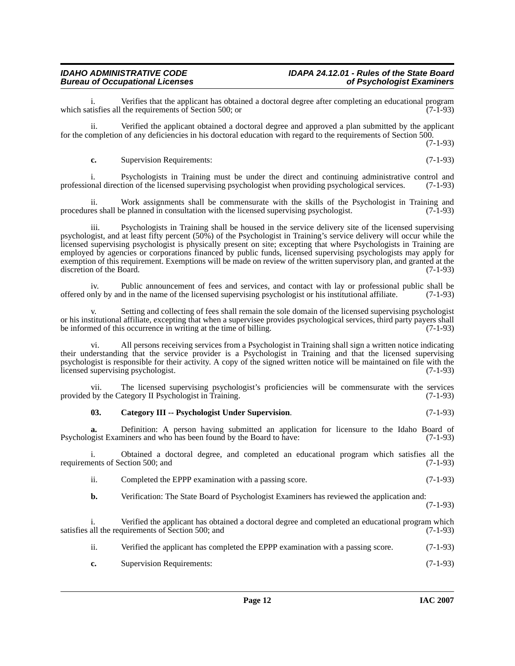Verifies that the applicant has obtained a doctoral degree after completing an educational program<br>the requirements of Section 500: or which satisfies all the requirements of Section 500; or

ii. Verified the applicant obtained a doctoral degree and approved a plan submitted by the applicant for the completion of any deficiencies in his doctoral education with regard to the requirements of Section 500.

(7-1-93)

**c.** Supervision Requirements: (7-1-93)

i. Psychologists in Training must be under the direct and continuing administrative control and onal direction of the licensed supervising psychologist when providing psychological services. (7-1-93) professional direction of the licensed supervising psychologist when providing psychological services.

ii. Work assignments shall be commensurate with the skills of the Psychologist in Training and procedures shall be planned in consultation with the licensed supervising psychologist. (7-1-93)

iii. Psychologists in Training shall be housed in the service delivery site of the licensed supervising psychologist, and at least fifty percent (50%) of the Psychologist in Training's service delivery will occur while the licensed supervising psychologist is physically present on site; excepting that where Psychologists in Training are employed by agencies or corporations financed by public funds, licensed supervising psychologists may apply for exemption of this requirement. Exemptions will be made on review of the written supervisory plan, and granted at the discretion of the Board. (7-1-93)

iv. Public announcement of fees and services, and contact with lay or professional public shall be nuly by and in the name of the licensed supervising psychologist or his institutional affiliate. (7-1-93) offered only by and in the name of the licensed supervising psychologist or his institutional affiliate. (7-1-93)

v. Setting and collecting of fees shall remain the sole domain of the licensed supervising psychologist or his institutional affiliate, excepting that when a supervisee provides psychological services, third party payers shall<br>be informed of this occurrence in writing at the time of billing. be informed of this occurrence in writing at the time of billing.

vi. All persons receiving services from a Psychologist in Training shall sign a written notice indicating their understanding that the service provider is a Psychologist in Training and that the licensed supervising psychologist is responsible for their activity. A copy of the signed written notice will be maintained on file with the licensed supervising psychologist. (7-1-93)

vii. The licensed supervising psychologist's proficiencies will be commensurate with the services by the Category II Psychologist in Training. (7-1-93) provided by the Category II Psychologist in Training.

#### <span id="page-11-0"></span>**03. Category III -- Psychologist Under Supervision**. (7-1-93)

**a.** Definition: A person having submitted an application for licensure to the Idaho Board of Psychologist Examiners and who has been found by the Board to have: (7-1-93)

i. Obtained a doctoral degree, and completed an educational program which satisfies all the requirements of Section 500; and

ii. Completed the EPPP examination with a passing score. (7-1-93)

**b.** Verification: The State Board of Psychologist Examiners has reviewed the application and: (7-1-93)

i. Verified the applicant has obtained a doctoral degree and completed an educational program which satisfies all the requirements of Section 500; and (7-1-93)

- ii. Verified the applicant has completed the EPPP examination with a passing score. (7-1-93)
- **c.** Supervision Requirements: (7-1-93)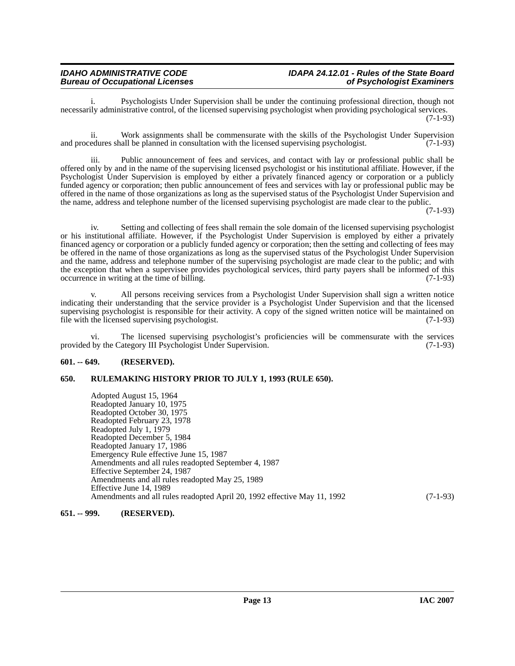# **IDAHO ADMINISTRATIVE CODE IDAPA 24.12.01 - Rules of the State Board**

Psychologists Under Supervision shall be under the continuing professional direction, though not necessarily administrative control, of the licensed supervising psychologist when providing psychological services. (7-1-93)

ii. Work assignments shall be commensurate with the skills of the Psychologist Under Supervision and procedures shall be planned in consultation with the licensed supervising psychologist. (7-1-93)

iii. Public announcement of fees and services, and contact with lay or professional public shall be offered only by and in the name of the supervising licensed psychologist or his institutional affiliate. However, if the Psychologist Under Supervision is employed by either a privately financed agency or corporation or a publicly funded agency or corporation; then public announcement of fees and services with lay or professional public may be offered in the name of those organizations as long as the supervised status of the Psychologist Under Supervision and the name, address and telephone number of the licensed supervising psychologist are made clear to the public.

 $(7-1-93)$ 

iv. Setting and collecting of fees shall remain the sole domain of the licensed supervising psychologist or his institutional affiliate. However, if the Psychologist Under Supervision is employed by either a privately financed agency or corporation or a publicly funded agency or corporation; then the setting and collecting of fees may be offered in the name of those organizations as long as the supervised status of the Psychologist Under Supervision and the name, address and telephone number of the supervising psychologist are made clear to the public; and with the exception that when a supervisee provides psychological services, third party payers shall be informed of this occurrence in writing at the time of billing. (7-1-93) occurrence in writing at the time of billing.

All persons receiving services from a Psychologist Under Supervision shall sign a written notice indicating their understanding that the service provider is a Psychologist Under Supervision and that the licensed supervising psychologist is responsible for their activity. A copy of the signed written notice will be maintained on file with the licensed supervising psychologist. (7-1-93)

vi. The licensed supervising psychologist's proficiencies will be commensurate with the services provided by the Category III Psychologist Under Supervision. (7-1-93)

#### <span id="page-12-0"></span>**601. -- 649. (RESERVED).**

#### <span id="page-12-1"></span>**650. RULEMAKING HISTORY PRIOR TO JULY 1, 1993 (RULE 650).**

Adopted August 15, 1964 Readopted January 10, 1975 Readopted October 30, 1975 Readopted February 23, 1978 Readopted July 1, 1979 Readopted December 5, 1984 Readopted January 17, 1986 Emergency Rule effective June 15, 1987 Amendments and all rules readopted September 4, 1987 Effective September 24, 1987 Amendments and all rules readopted May 25, 1989 Effective June 14, 1989 Amendments and all rules readopted April 20, 1992 effective May 11, 1992 (7-1-93)

#### <span id="page-12-2"></span>**651. -- 999. (RESERVED).**